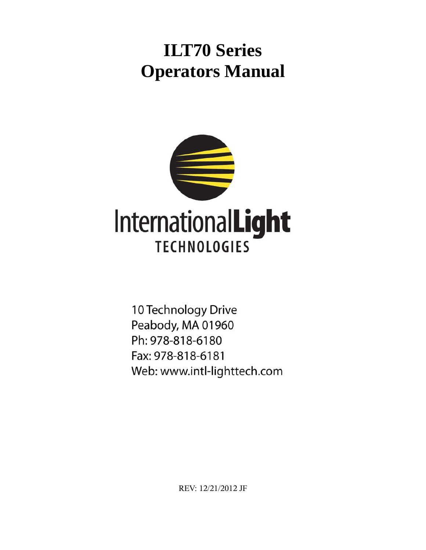# **ILT70 Series Operators Manual**



10 Technology Drive Peabody, MA 01960 Ph: 978-818-6180 Fax: 978-818-6181 Web: www.intl-lighttech.com

REV: 12/21/2012 JF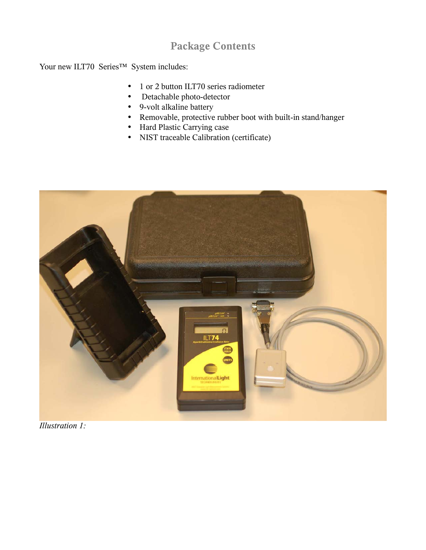## **Package Contents**

Your new ILT70 Series™ System includes:

- 1 or 2 button ILT70 series radiometer
- Detachable photo-detector
- 9-volt alkaline battery
- Removable, protective rubber boot with built-in stand/hanger
- Hard Plastic Carrying case
- NIST traceable Calibration (certificate)



*Illustration 1:*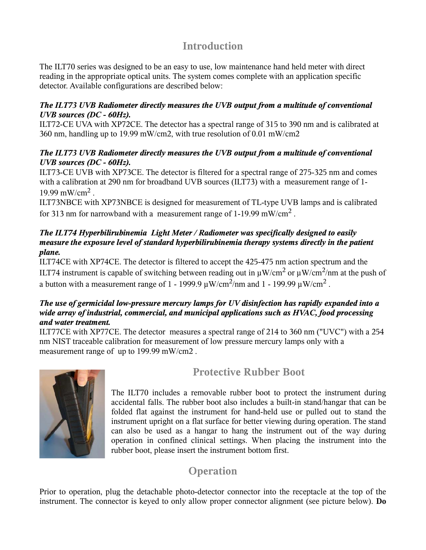### **Introduction**

The ILT70 series was designed to be an easy to use, low maintenance hand held meter with direct reading in the appropriate optical units. The system comes complete with an application specific detector. Available configurations are described below:

#### *The ILT73 UVB Radiometer directly measures the UVB output from a multitude of conventional UVB sources (DC - 60Hz).*

ILT72-CE UVA with XP72CE. The detector has a spectral range of 315 to 390 nm and is calibrated at 360 nm, handling up to 19.99 mW/cm2, with true resolution of 0.01 mW/cm2

#### *The ILT73 UVB Radiometer directly measures the UVB output from a multitude of conventional UVB sources (DC - 60Hz).*

ILT73-CE UVB with XP73CE. The detector is filtered for a spectral range of 275-325 nm and comes with a calibration at 290 nm for broadband UVB sources (ILT73) with a measurement range of 1-19.99 mW/cm<sup>2</sup>.

ILT73NBCE with XP73NBCE is designed for measurement of TL-type UVB lamps and is calibrated for 313 nm for narrowband with a measurement range of 1-19.99 mW/cm<sup>2</sup>.

#### *The ILT74 Hyperbilirubinemia Light Meter / Radiometer was specifically designed to easily measure the exposure level of standard hyperbilirubinemia therapy systems directly in the patient plane.*

ILT74CE with XP74CE. The detector is filtered to accept the 425-475 nm action spectrum and the ILT74 instrument is capable of switching between reading out in  $\mu$ W/cm<sup>2</sup> or  $\mu$ W/cm<sup>2</sup>/nm at the push of a button with a measurement range of 1 - 1999.9  $\mu$ W/cm<sup>2</sup>/nm and 1 - 199.99  $\mu$ W/cm<sup>2</sup> .

#### *The use of germicidal low-pressure mercury lamps for UV disinfection has rapidly expanded into a wide array of industrial, commercial, and municipal applications such as HVAC, food processing and water treatment.*

ILT77CE with XP77CE. The detector measures a spectral range of 214 to 360 nm ("UVC") with a 254 nm NIST traceable calibration for measurement of low pressure mercury lamps only with a measurement range of up to 199.99 mW/cm2 .



# **Protective Rubber Boot**

The ILT70 includes a removable rubber boot to protect the instrument during accidental falls. The rubber boot also includes a built-in stand/hangar that can be folded flat against the instrument for hand-held use or pulled out to stand the instrument upright on a flat surface for better viewing during operation. The stand can also be used as a hangar to hang the instrument out of the way during operation in confined clinical settings. When placing the instrument into the rubber boot, please insert the instrument bottom first.

# **Operation**

Prior to operation, plug the detachable photo-detector connector into the receptacle at the top of the instrument. The connector is keyed to only allow proper connector alignment (see picture below). **Do**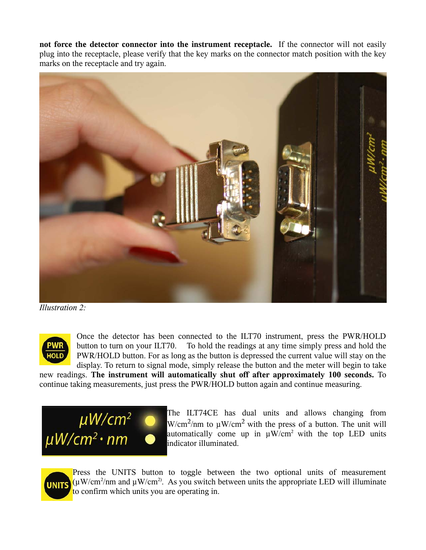**not force the detector connector into the instrument receptacle.** If the connector will not easily plug into the receptacle, please verify that the key marks on the connector match position with the key marks on the receptacle and try again.



*Illustration 2:* 



Once the detector has been connected to the ILT70 instrument, press the PWR/HOLD button to turn on your ILT70. To hold the readings at any time simply press and hold the PWR/HOLD button. For as long as the button is depressed the current value will stay on the display. To return to signal mode, simply release the button and the meter will begin to take

new readings. **The instrument will automatically shut off after approximately 100 seconds.** To continue taking measurements, just press the PWR/HOLD button again and continue measuring.



The ILT74CE has dual units and allows changing from  $W/cm<sup>2</sup>/nm$  to  $\mu W/cm<sup>2</sup>$  with the press of a button. The unit will automatically come up in  $\mu$ W/cm<sup>2</sup> with the top LED units indicator illuminated.



Press the UNITS button to toggle between the two optional units of measurement  $(\mu W/cm^2/mm$  and  $\mu W/cm^2$ . As you switch between units the appropriate LED will illuminate to confirm which units you are operating in.